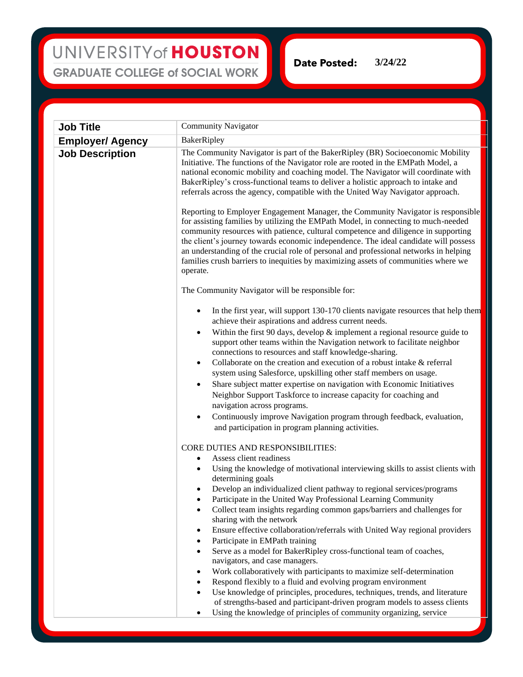## UNIVERSITY of HOUSTON **GRADUATE COLLEGE of SOCIAL WORK**

**Date Posted: 3/24/22**

| <b>Job Title</b>                                  | <b>Community Navigator</b>                                                                                                                                                                                                                                                                                                                                                                                                                                                                                                                                                                                                                                                                                                                                                                                                                                                                                                                                                                                                                             |
|---------------------------------------------------|--------------------------------------------------------------------------------------------------------------------------------------------------------------------------------------------------------------------------------------------------------------------------------------------------------------------------------------------------------------------------------------------------------------------------------------------------------------------------------------------------------------------------------------------------------------------------------------------------------------------------------------------------------------------------------------------------------------------------------------------------------------------------------------------------------------------------------------------------------------------------------------------------------------------------------------------------------------------------------------------------------------------------------------------------------|
|                                                   |                                                                                                                                                                                                                                                                                                                                                                                                                                                                                                                                                                                                                                                                                                                                                                                                                                                                                                                                                                                                                                                        |
| <b>Employer/ Agency</b><br><b>Job Description</b> | BakerRipley<br>The Community Navigator is part of the BakerRipley (BR) Socioeconomic Mobility<br>Initiative. The functions of the Navigator role are rooted in the EMPath Model, a<br>national economic mobility and coaching model. The Navigator will coordinate with<br>BakerRipley's cross-functional teams to deliver a holistic approach to intake and<br>referrals across the agency, compatible with the United Way Navigator approach.                                                                                                                                                                                                                                                                                                                                                                                                                                                                                                                                                                                                        |
|                                                   | Reporting to Employer Engagement Manager, the Community Navigator is responsible<br>for assisting families by utilizing the EMPath Model, in connecting to much-needed<br>community resources with patience, cultural competence and diligence in supporting<br>the client's journey towards economic independence. The ideal candidate will possess<br>an understanding of the crucial role of personal and professional networks in helping<br>families crush barriers to inequities by maximizing assets of communities where we<br>operate.                                                                                                                                                                                                                                                                                                                                                                                                                                                                                                        |
|                                                   | The Community Navigator will be responsible for:                                                                                                                                                                                                                                                                                                                                                                                                                                                                                                                                                                                                                                                                                                                                                                                                                                                                                                                                                                                                       |
|                                                   | In the first year, will support 130-170 clients navigate resources that help them<br>achieve their aspirations and address current needs.<br>Within the first 90 days, develop $\&$ implement a regional resource guide to<br>$\bullet$<br>support other teams within the Navigation network to facilitate neighbor<br>connections to resources and staff knowledge-sharing.<br>Collaborate on the creation and execution of a robust intake & referral<br>$\bullet$<br>system using Salesforce, upskilling other staff members on usage.<br>Share subject matter expertise on navigation with Economic Initiatives<br>٠<br>Neighbor Support Taskforce to increase capacity for coaching and<br>navigation across programs.<br>Continuously improve Navigation program through feedback, evaluation,<br>$\bullet$<br>and participation in program planning activities.                                                                                                                                                                                 |
|                                                   | CORE DUTIES AND RESPONSIBILITIES:<br>Assess client readiness<br>٠<br>Using the knowledge of motivational interviewing skills to assist clients with<br>$\bullet$<br>determining goals<br>Develop an individualized client pathway to regional services/programs<br>٠<br>Participate in the United Way Professional Learning Community<br>Collect team insights regarding common gaps/barriers and challenges for<br>sharing with the network<br>Ensure effective collaboration/referrals with United Way regional providers<br>٠<br>Participate in EMPath training<br>Serve as a model for BakerRipley cross-functional team of coaches,<br>navigators, and case managers.<br>Work collaboratively with participants to maximize self-determination<br>Respond flexibly to a fluid and evolving program environment<br>Use knowledge of principles, procedures, techniques, trends, and literature<br>of strengths-based and participant-driven program models to assess clients<br>Using the knowledge of principles of community organizing, service |